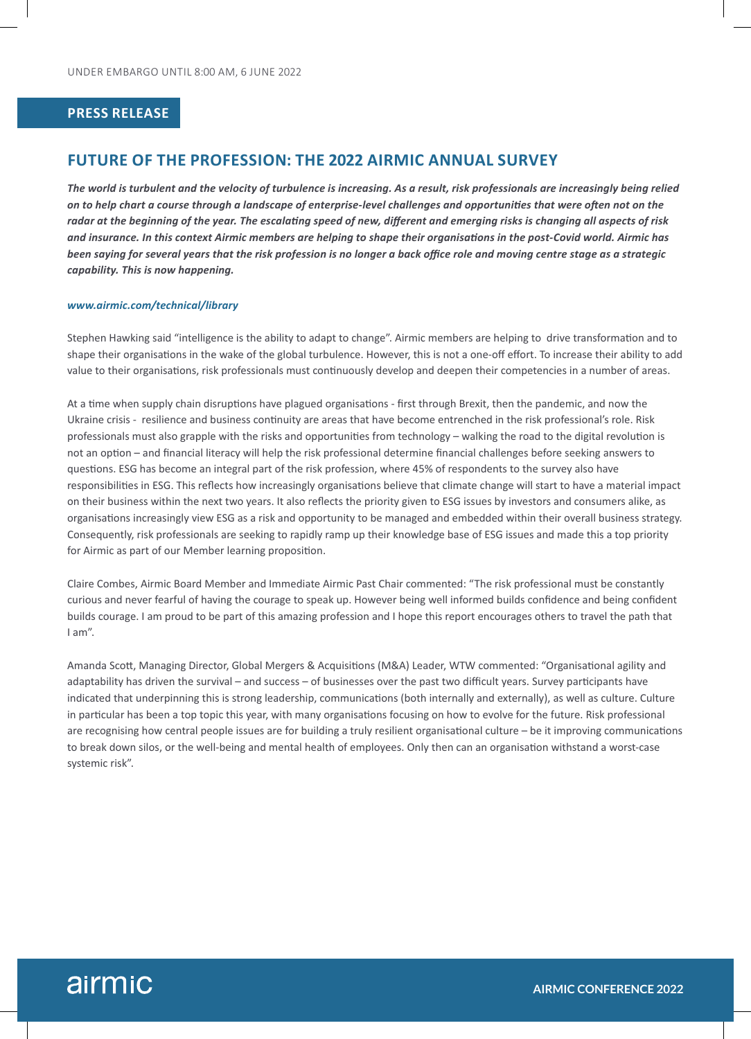#### **PRESS RELEASE**

# **FUTURE OF THE PROFESSION: THE 2022 AIRMIC ANNUAL SURVEY**

*The world is turbulent and the velocity of turbulence is increasing. As a result, risk professionals are increasingly being relied on to help chart a course through a landscape of enterprise-level challenges and opportunities that were often not on the radar at the beginning of the year. The escalating speed of new, different and emerging risks is changing all aspects of risk and insurance. In this context Airmic members are helping to shape their organisations in the post-Covid world. Airmic has been saying for several years that the risk profession is no longer a back office role and moving centre stage as a strategic capability. This is now happening.*

#### *www.airmic.com/technical/library*

Stephen Hawking said "intelligence is the ability to adapt to change". Airmic members are helping to drive transformation and to shape their organisations in the wake of the global turbulence. However, this is not a one-off effort. To increase their ability to add value to their organisations, risk professionals must continuously develop and deepen their competencies in a number of areas.

At a time when supply chain disruptions have plagued organisations - first through Brexit, then the pandemic, and now the Ukraine crisis - resilience and business continuity are areas that have become entrenched in the risk professional's role. Risk professionals must also grapple with the risks and opportunities from technology – walking the road to the digital revolution is not an option – and financial literacy will help the risk professional determine financial challenges before seeking answers to questions. ESG has become an integral part of the risk profession, where 45% of respondents to the survey also have responsibilities in ESG. This reflects how increasingly organisations believe that climate change will start to have a material impact on their business within the next two years. It also reflects the priority given to ESG issues by investors and consumers alike, as organisations increasingly view ESG as a risk and opportunity to be managed and embedded within their overall business strategy. Consequently, risk professionals are seeking to rapidly ramp up their knowledge base of ESG issues and made this a top priority for Airmic as part of our Member learning proposition.

Claire Combes, Airmic Board Member and Immediate Airmic Past Chair commented: "The risk professional must be constantly curious and never fearful of having the courage to speak up. However being well informed builds confidence and being confident builds courage. I am proud to be part of this amazing profession and I hope this report encourages others to travel the path that I am".

Amanda Scott, Managing Director, Global Mergers & Acquisitions (M&A) Leader, WTW commented: "Organisational agility and adaptability has driven the survival – and success – of businesses over the past two difficult years. Survey participants have indicated that underpinning this is strong leadership, communications (both internally and externally), as well as culture. Culture in particular has been a top topic this year, with many organisations focusing on how to evolve for the future. Risk professional are recognising how central people issues are for building a truly resilient organisational culture – be it improving communications to break down silos, or the well-being and mental health of employees. Only then can an organisation withstand a worst-case systemic risk".